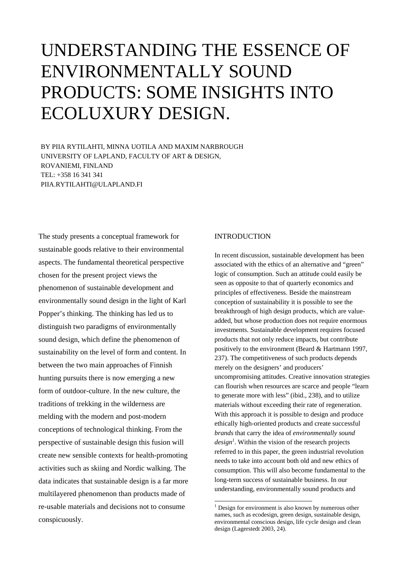# UNDERSTANDING THE ESSENCE OF ENVIRONMENTALLY SOUND PRODUCTS: SOME INSIGHTS INTO ECOLUXURY DESIGN.

BY PIIA RYTILAHTI, MINNA UOTILA AND MAXIM NARBROUGH UNIVERSITY OF LAPLAND, FACULTY OF ART & DESIGN, ROVANIEMI, FINLAND TEL: +358 16 341 341 PIIA.RYTILAHTI@ULAPLAND.FI

The study presents a conceptual framework for sustainable goods relative to their environmental aspects. The fundamental theoretical perspective chosen for the present project views the phenomenon of sustainable development and environmentally sound design in the light of Karl Popper's thinking. The thinking has led us to distinguish two paradigms of environmentally sound design, which define the phenomenon of sustainability on the level of form and content. In between the two main approaches of Finnish hunting pursuits there is now emerging a new form of outdoor-culture. In the new culture, the traditions of trekking in the wilderness are melding with the modern and post-modern conceptions of technological thinking. From the perspective of sustainable design this fusion will create new sensible contexts for health-promoting activities such as skiing and Nordic walking. The data indicates that sustainable design is a far more multilayered phenomenon than products made of re-usable materials and decisions not to consume conspicuously.

### **INTRODUCTION**

In recent discussion, sustainable development has been associated with the ethics of an alternative and "green" logic of consumption. Such an attitude could easily be seen as opposite to that of quarterly economics and principles of effectiveness. Beside the mainstream conception of sustainability it is possible to see the breakthrough of high design products, which are valueadded, but whose production does not require enormous investments. Sustainable development requires focused products that not only reduce impacts, but contribute positively to the environment (Beard & Hartmann 1997, 237). The competitiveness of such products depends merely on the designers' and producers' uncompromising attitudes. Creative innovation strategies can flourish when resources are scarce and people "learn to generate more with less" (ibid., 238), and to utilize materials without exceeding their rate of regeneration. With this approach it is possible to design and produce ethically high-oriented products and create successful *brands* that carry the idea of *environmentally sound*  design<sup>1</sup>. Within the vision of the research projects referred to in this paper, the green industrial revolution needs to take into account both old and new ethics of consumption. This will also become fundamental to the long-term success of sustainable business. In our understanding, environmentally sound products and

<span id="page-0-0"></span> $\frac{1}{1}$ <sup>1</sup> Design for environment is also known by numerous other names, such as ecodesign, green design, sustainable design, environmental conscious design, life cycle design and clean design (Lagerstedt 2003, 24).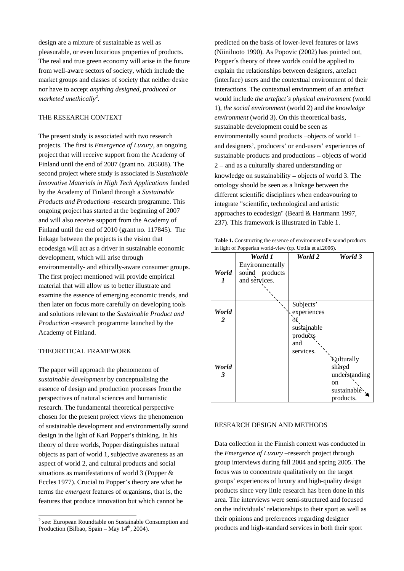design are a mixture of sustainable as well as pleasurable, or even luxurious properties of products. The real and true green economy will arise in the future from well-aware sectors of society, which include the market groups and classes of society that neither desire nor have to accept *anything designed, produced or marketed unethically<sup>2</sup> [.](#page-1-0)*

### THE RESEARCH CONTEXT

The present study is associated with two research projects. The first is *Emergence of Luxury,* an ongoing project that will receive support from the Academy of Finland until the end of 2007 (grant no. 205608). The second project where study is associated is *Sustainable Innovative Materials in High Tech Applications* funded by the Academy of Finland through a *Sustainable Products and Productions* -research programme. This ongoing project has started at the beginning of 2007 and will also receive support from the Academy of Finland until the end of 2010 (grant no. 117845). The linkage between the projects is the vision that ecodesign will act as a driver in sustainable economic development, which will arise through environmentally- and ethically-aware consumer groups*.*  The first project mentioned will provide empirical material that will allow us to better illustrate and examine the essence of emerging economic trends, and then later on focus more carefully on developing tools and solutions relevant to the *Sustainable Product and Production* -research programme launched by the Academy of Finland.

#### THEORETICAL FRAMEWORK

The paper will approach the phenomenon of *sustainable development* by conceptualising the essence of design and production processes from the perspectives of natural sciences and humanistic research. The fundamental theoretical perspective chosen for the present project views the phenomenon of sustainable development and environmentally sound design in the light of Karl Popper's thinking. In his theory of three worlds, Popper distinguishes natural objects as part of world 1, subjective awareness as an aspect of world 2, and cultural products and social situations as manifestations of world 3 (Popper & Eccles 1977). Crucial to Popper's theory are what he terms the *emergent* features of organisms, that is, the features that produce innovation but which cannot be

predicted on the basis of lower-level features or laws (Niiniluoto 1990). As Popovic (2002) has pointed out, Popper´s theory of three worlds could be applied to explain the relationships between designers, artefact (interface) users and the contextual environment of their interactions. The contextual environment of an artefact would include *the artefact´s physical environment* (world 1), *the social environment* (world 2) and *the knowledge environment* (world 3). On this theoretical basis, sustainable development could be seen as environmentally sound products −objects of world 1− and designers', producers' or end-users' experiences of sustainable products and productions – objects of world 2 – and as a culturally shared understanding or knowledge on sustainability − objects of world 3. The ontology should be seen as a linkage between the different scientific disciplines when endeavouring to integrate "scientific, technological and artistic approaches to ecodesign" (Beard & Hartmann 1997, 237). This framework is illustrated in Table 1.

Table 1. Constructing the essence of environmentally sound products in light of Popperian world-view (cp. Uotila et al.2006).

|            | World 1                                            | World 2                                                                       | World 3                                                                                   |
|------------|----------------------------------------------------|-------------------------------------------------------------------------------|-------------------------------------------------------------------------------------------|
| World<br>1 | Environmentally<br>sound products<br>and services. |                                                                               |                                                                                           |
| World<br>2 |                                                    | Subjects'<br>experiences<br>òf<br>sustainable<br>products<br>and<br>services. |                                                                                           |
| World<br>3 |                                                    |                                                                               | <b>Culturally</b><br>shared<br>understanding<br><sub>on</sub><br>sustainable<br>products. |

#### RESEARCH DESIGN AND METHODS

Data collection in the Finnish context was conducted in the *Emergence of Luxury* –research project through group interviews during fall 2004 and spring 2005. The focus was to concentrate qualitatively on the target groups' experiences of luxury and high-quality design products since very little research has been done in this area. The interviews were semi-structured and focused on the individuals' relationships to their sport as well as their opinions and preferences regarding designer products and high-standard services in both their sport

<span id="page-1-0"></span> $\frac{1}{2}$ <sup>2</sup> see: European Roundtable on Sustainable Consumption and Production (Bilbao, Spain – May 14<sup>th</sup>, 2004).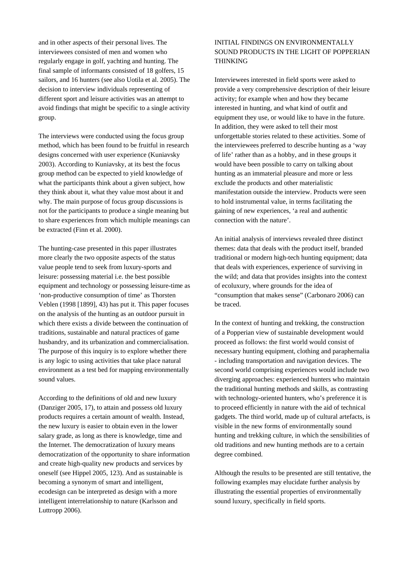and in other aspects of their personal lives. The interviewees consisted of men and women who regularly engage in golf, yachting and hunting. The final sample of informants consisted of 18 golfers, 15 sailors, and 16 hunters (see also Uotila et al. 2005). The decision to interview individuals representing of different sport and leisure activities was an attempt to avoid findings that might be specific to a single activity group.

The interviews were conducted using the focus group method, which has been found to be fruitful in research designs concerned with user experience (Kuniavsky 2003). According to Kuniavsky, at its best the focus group method can be expected to yield knowledge of what the participants think about a given subject, how they think about it, what they value most about it and why. The main purpose of focus group discussions is not for the participants to produce a single meaning but to share experiences from which multiple meanings can be extracted (Finn et al. 2000).

The hunting-case presented in this paper illustrates more clearly the two opposite aspects of the status value people tend to seek from luxury-sports and leisure: possessing material i.e. the best possible equipment and technology or possessing leisure-time as 'non-productive consumption of time' as Thorsten Veblen (1998 [1899], 43) has put it. This paper focuses on the analysis of the hunting as an outdoor pursuit in which there exists a divide between the continuation of traditions, sustainable and natural practices of game husbandry, and its urbanization and commercialisation. The purpose of this inquiry is to explore whether there is any logic to using activities that take place natural environment as a test bed for mapping environmentally sound values.

According to the definitions of old and new luxury (Danziger 2005, 17), to attain and possess old luxury products requires a certain amount of wealth. Instead, the new luxury is easier to obtain even in the lower salary grade, as long as there is knowledge, time and the Internet. The democratization of luxury means democratization of the opportunity to share information and create high-quality new products and services by oneself (see Hippel 2005, 123). And as sustainable is becoming a synonym of smart and intelligent, ecodesign can be interpreted as design with a more intelligent interrelationship to nature (Karlsson and Luttropp 2006).

## INITIAL FINDINGS ON ENVIRONMENTALLY SOUND PRODUCTS IN THE LIGHT OF POPPERIAN THINKING

Interviewees interested in field sports were asked to provide a very comprehensive description of their leisure activity; for example when and how they became interested in hunting, and what kind of outfit and equipment they use, or would like to have in the future. In addition, they were asked to tell their most unforgettable stories related to these activities. Some of the interviewees preferred to describe hunting as a 'way of life' rather than as a hobby, and in these groups it would have been possible to carry on talking about hunting as an immaterial pleasure and more or less exclude the products and other materialistic manifestation outside the interview. Products were seen to hold instrumental value, in terms facilitating the gaining of new experiences, 'a real and authentic connection with the nature'.

An initial analysis of interviews revealed three distinct themes: data that deals with the product itself, branded traditional or modern high-tech hunting equipment; data that deals with experiences, experience of surviving in the wild; and data that provides insights into the context of ecoluxury, where grounds for the idea of "consumption that makes sense" (Carbonaro 2006) can be traced.

In the context of hunting and trekking, the construction of a Popperian view of sustainable development would proceed as follows: the first world would consist of necessary hunting equipment, clothing and paraphernalia - including transportation and navigation devices. The second world comprising experiences would include two diverging approaches: experienced hunters who maintain the traditional hunting methods and skills, as contrasting with technology-oriented hunters, who's preference it is to proceed efficiently in nature with the aid of technical gadgets. The third world, made up of cultural artefacts, is visible in the new forms of environmentally sound hunting and trekking culture, in which the sensibilities of old traditions and new hunting methods are to a certain degree combined.

Although the results to be presented are still tentative, the following examples may elucidate further analysis by illustrating the essential properties of environmentally sound luxury, specifically in field sports.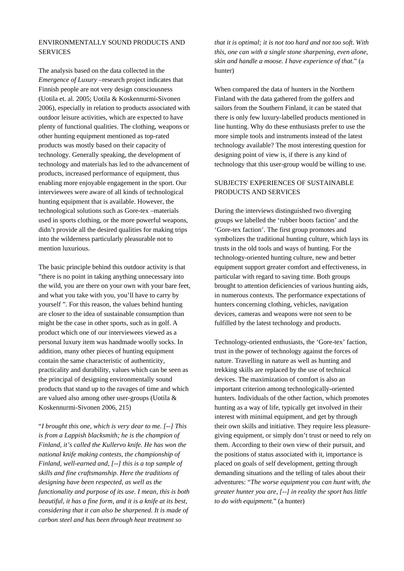## ENVIRONMENTALLY SOUND PRODUCTS AND **SERVICES**

The analysis based on the data collected in the *Emergence of Luxury* –research project indicates that Finnish people are not very design consciousness (Uotila et. al. 2005; Uotila & Koskennurmi-Sivonen 2006), especially in relation to products associated with outdoor leisure activities, which are expected to have plenty of functional qualities. The clothing, weapons or other hunting equipment mentioned as top-rated products was mostly based on their capacity of technology. Generally speaking, the development of technology and materials has led to the advancement of products, increased performance of equipment, thus enabling more enjoyable engagement in the sport. Our interviewees were aware of all kinds of technological hunting equipment that is available. However, the technological solutions such as Gore-tex –materials used in sports clothing, or the more powerful weapons, didn't provide all the desired qualities for making trips into the wilderness particularly pleasurable not to mention luxurious.

The basic principle behind this outdoor activity is that "there is no point in taking anything unnecessary into the wild, you are there on your own with your bare feet, and what you take with you, you'll have to carry by yourself ". For this reason, the values behind hunting are closer to the idea of sustainable consumption than might be the case in other sports, such as in golf. A product which one of our interviewees viewed as a personal luxury item was handmade woolly socks. In addition, many other pieces of hunting equipment contain the same characteristic of authenticity, practicality and durability, values which can be seen as the principal of designing environmentally sound products that stand up to the ravages of time and which are valued also among other user-groups (Uotila & Koskennurmi-Sivonen 2006, 215)

"*I brought this one, which is very dear to me. [--] This is from a Lappish blacksmith; he is the champion of Finland, it's called the Kullervo knife. He has won the national knife making contests, the championship of Finland, well-earned and, [--] this is a top sample of skills and fine craftsmanship. Here the traditions of designing have been respected, as well as the functionality and purpose of its use. I mean, this is both beautiful, it has a fine form, and it is a knife at its best, considering that it can also be sharpened. It is made of carbon steel and has been through heat treatment so* 

*that it is optimal; it is not too hard and not too soft. With this, one can with a single stone sharpening, even alone, skin and handle a moose. I have experience of that*." (a hunter)

When compared the data of hunters in the Northern Finland with the data gathered from the golfers and sailors from the Southern Finland, it can be stated that there is only few luxury-labelled products mentioned in line hunting. Why do these enthusiasts prefer to use the more simple tools and instruments instead of the latest technology available? The most interesting question for designing point of view is, if there is any kind of technology that this user-group would be willing to use.

### SUBJECTS' EXPERIENCES OF SUSTAINABLE PRODUCTS AND SERVICES

During the interviews distinguished two diverging groups we labelled the 'rubber boots faction' and the 'Gore-tex faction'. The first group promotes and symbolizes the traditional hunting culture, which lays its trusts in the old tools and ways of hunting. For the technology-oriented hunting culture, new and better equipment support greater comfort and effectiveness, in particular with regard to saving time. Both groups brought to attention deficiencies of various hunting aids, in numerous contexts. The performance expectations of hunters concerning clothing, vehicles, navigation devices, cameras and weapons were not seen to be fulfilled by the latest technology and products.

Technology-oriented enthusiasts, the 'Gore-tex' faction, trust in the power of technology against the forces of nature. Travelling in nature as well as hunting and trekking skills are replaced by the use of technical devices. The maximization of comfort is also an important criterion among technologically-oriented hunters. Individuals of the other faction, which promotes hunting as a way of life, typically get involved in their interest with minimal equipment, and get by through their own skills and initiative. They require less pleasuregiving equipment, or simply don't trust or need to rely on them. According to their own view of their pursuit, and the positions of status associated with it, importance is placed on goals of self development, getting through demanding situations and the telling of tales about their adventures: "*The worse equipment you can hunt with, the greater hunter you are, [--] in reality the sport has little to do with equipment*." (a hunter)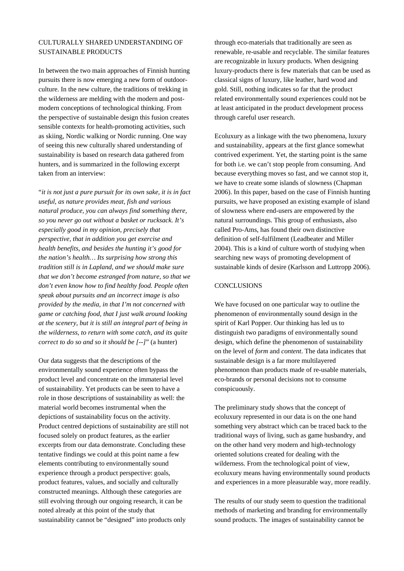## CULTURALLY SHARED UNDERSTANDING OF SUSTAINABLE PRODUCTS

In between the two main approaches of Finnish hunting pursuits there is now emerging a new form of outdoorculture. In the new culture, the traditions of trekking in the wilderness are melding with the modern and postmodern conceptions of technological thinking. From the perspective of sustainable design this fusion creates sensible contexts for health-promoting activities, such as skiing, Nordic walking or Nordic running. One way of seeing this new culturally shared understanding of sustainability is based on research data gathered from hunters, and is summarized in the following excerpt taken from an interview:

"*it is not just a pure pursuit for its own sake, it is in fact useful, as nature provides meat, fish and various natural produce, you can always find something there, so you never go out without a basket or rucksack. It's especially good in my opinion, precisely that perspective, that in addition you get exercise and health benefits, and besides the hunting it's good for the nation's health… Its surprising how strong this tradition still is in Lapland, and we should make sure that we don't become estranged from nature, so that we don't even know how to find healthy food. People often speak about pursuits and an incorrect image is also provided by the media, in that I'm not concerned with game or catching food, that I just walk around looking at the scenery, but it is still an integral part of being in the wilderness, to return with some catch, and its quite correct to do so and so it should be [--]*" (a hunter)

Our data suggests that the descriptions of the environmentally sound experience often bypass the product level and concentrate on the immaterial level of sustainability. Yet products can be seen to have a role in those descriptions of sustainability as well: the material world becomes instrumental when the depictions of sustainability focus on the activity. Product centred depictions of sustainability are still not focused solely on product features, as the earlier excerpts from our data demonstrate. Concluding these tentative findings we could at this point name a few elements contributing to environmentally sound experience through a product perspective: goals, product features, values, and socially and culturally constructed meanings. Although these categories are still evolving through our ongoing research, it can be noted already at this point of the study that sustainability cannot be "designed" into products only

through eco-materials that traditionally are seen as renewable, re-usable and recyclable. The similar features are recognizable in luxury products. When designing luxury-products there is few materials that can be used as classical signs of luxury, like leather, hard wood and gold. Still, nothing indicates so far that the product related environmentally sound experiences could not be at least anticipated in the product development process through careful user research.

Ecoluxury as a linkage with the two phenomena, luxury and sustainability, appears at the first glance somewhat contrived experiment. Yet, the starting point is the same for both i.e. we can't stop people from consuming. And because everything moves so fast, and we cannot stop it, we have to create some islands of slowness (Chapman 2006). In this paper, based on the case of Finnish hunting pursuits, we have proposed an existing example of island of slowness where end-users are empowered by the natural surroundings. This group of enthusiasts, also called Pro-Ams, has found their own distinctive definition of self-fulfilment (Leadbeater and Miller 2004). This is a kind of culture worth of studying when searching new ways of promoting development of sustainable kinds of desire (Karlsson and Luttropp 2006).

#### **CONCLUSIONS**

We have focused on one particular way to outline the phenomenon of environmentally sound design in the spirit of Karl Popper. Our thinking has led us to distinguish two paradigms of environmentally sound design, which define the phenomenon of sustainability on the level of *form* and *content*. The data indicates that sustainable design is a far more multilayered phenomenon than products made of re-usable materials, eco-brands or personal decisions not to consume conspicuously.

The preliminary study shows that the concept of ecoluxury represented in our data is on the one hand something very abstract which can be traced back to the traditional ways of living, such as game husbandry, and on the other hand very modern and high-technology oriented solutions created for dealing with the wilderness. From the technological point of view, ecoluxury means having environmentally sound products and experiences in a more pleasurable way, more readily.

The results of our study seem to question the traditional methods of marketing and branding for environmentally sound products. The images of sustainability cannot be